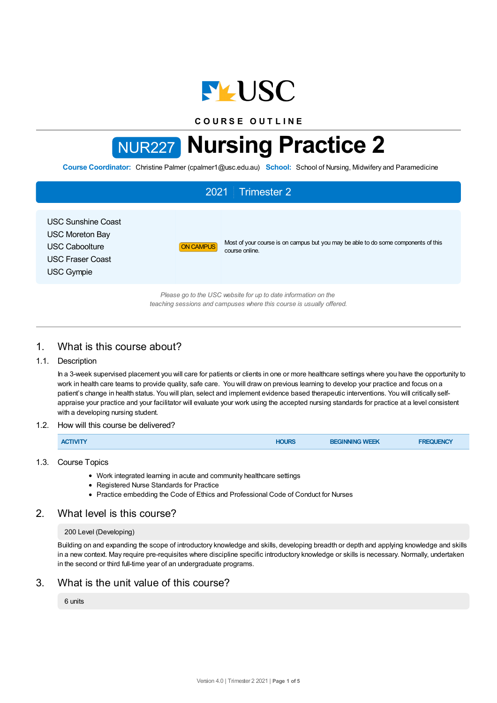

**C O U R S E O U T L I N E**

# NUR227 **Nursing Practice 2**

**Course Coordinator:** Christine Palmer (cpalmer1@usc.edu.au) **School:** School of Nursing, Midwifery and Paramedicine

# 2021 Trimester 2 USC Sunshine Coast USC Moreton Bay USC Caboolture USC Fraser Coast USC Gympie ON CAMPUS Most of your course is on campus but you may be able to do some components of this course online. *Please go to the USC website for up to date information on the teaching sessions and campuses where this course is usually offered.*

# 1. What is this course about?

## 1.1. Description

In a 3-week supervised placement you will care for patients or clients in one or more healthcare settings where you have the opportunity to work in health care teams to provide quality, safe care. You will draw on previous learning to develop your practice and focus on a patient's change in health status. You will plan, select and implement evidence based therapeutic interventions. You will critically selfappraise your practice and your facilitator will evaluate your work using the accepted nursing standards for practice at a level consistent with a developing nursing student.

## 1.2. How will this course be delivered?

| <b>ACTIVITY</b> | <b>HOURS</b> | <b>BEGINNING WEEK</b> | <b>FREQUENCY</b> |
|-----------------|--------------|-----------------------|------------------|
|                 |              |                       |                  |

## 1.3. Course Topics

- Work integrated learning in acute and community healthcare settings
- Registered Nurse Standards for Practice
- Practice embedding the Code of Ethics and Professional Code of Conduct for Nurses

## 2. What level is this course?

## 200 Level (Developing)

Building on and expanding the scope of introductory knowledge and skills, developing breadth or depth and applying knowledge and skills in a new context. May require pre-requisites where discipline specific introductory knowledge or skills is necessary. Normally, undertaken in the second or third full-time year of an undergraduate programs.

# 3. What is the unit value of this course?

## 6 units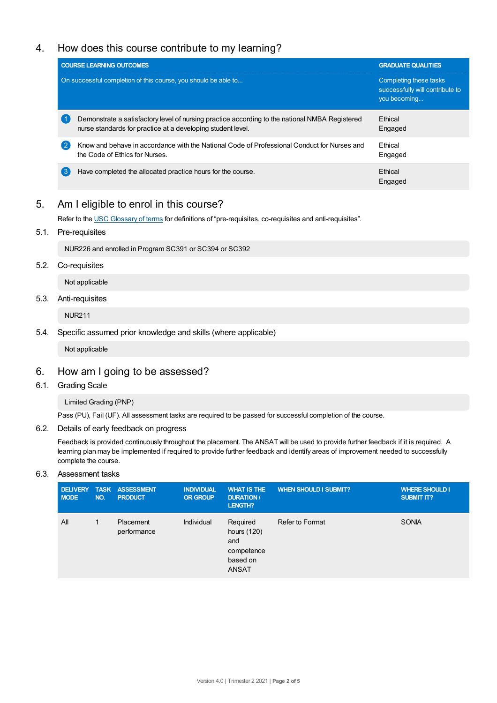# 4. How does this course contribute to my learning?

|                   | <b>COURSE LEARNING OUTCOMES</b>                                                                                                                               | <b>GRADUATE QUALITIES</b>                                                 |  |
|-------------------|---------------------------------------------------------------------------------------------------------------------------------------------------------------|---------------------------------------------------------------------------|--|
|                   | On successful completion of this course, you should be able to                                                                                                | Completing these tasks<br>successfully will contribute to<br>you becoming |  |
|                   | Demonstrate a satisfactory level of nursing practice according to the national NMBA Registered<br>nurse standards for practice at a developing student level. | <b>Ethical</b><br>Engaged                                                 |  |
| $\left( 2\right)$ | Know and behave in accordance with the National Code of Professional Conduct for Nurses and<br>the Code of Ethics for Nurses.                                 | <b>F</b> thical<br>Engaged                                                |  |
| 3                 | Have completed the allocated practice hours for the course.                                                                                                   | Ethical<br>Engaged                                                        |  |

# 5. Am Ieligible to enrol in this course?

Refer to the USC [Glossary](https://www.usc.edu.au/about/policies-and-procedures/glossary-of-terms-for-policy-and-procedures) of terms for definitions of "pre-requisites, co-requisites and anti-requisites".

5.1. Pre-requisites

NUR226 and enrolled in Program SC391 or SC394 or SC392

5.2. Co-requisites

Not applicable

5.3. Anti-requisites

NUR211

5.4. Specific assumed prior knowledge and skills (where applicable)

Not applicable

## 6. How am Igoing to be assessed?

6.1. Grading Scale

Limited Grading (PNP)

Pass (PU), Fail (UF). All assessment tasks are required to be passed for successful completion of the course.

## 6.2. Details of early feedback on progress

Feedback is provided continuously throughout the placement. The ANSAT will be used to provide further feedback if it is required. A learning plan may be implemented if required to provide further feedback and identify areas of improvement needed to successfully complete the course.

## 6.3. Assessment tasks

| <b>MODE</b> | NO. | DELIVERY TASK ASSESSMENT<br><b>PRODUCT</b> | <b>INDIVIDUAL</b><br><b>OR GROUP</b> | <b>WHAT IS THE</b><br><b>DURATION /</b><br>LENGTH?                       | <b>WHEN SHOULD I SUBMIT?</b> | <b>WHERE SHOULD I</b><br><b>SUBMIT IT?</b> |
|-------------|-----|--------------------------------------------|--------------------------------------|--------------------------------------------------------------------------|------------------------------|--------------------------------------------|
| All         |     | Placement<br>performance                   | Individual                           | Required<br>hours (120)<br>and<br>competence<br>based on<br><b>ANSAT</b> | Refer to Format              | <b>SONIA</b>                               |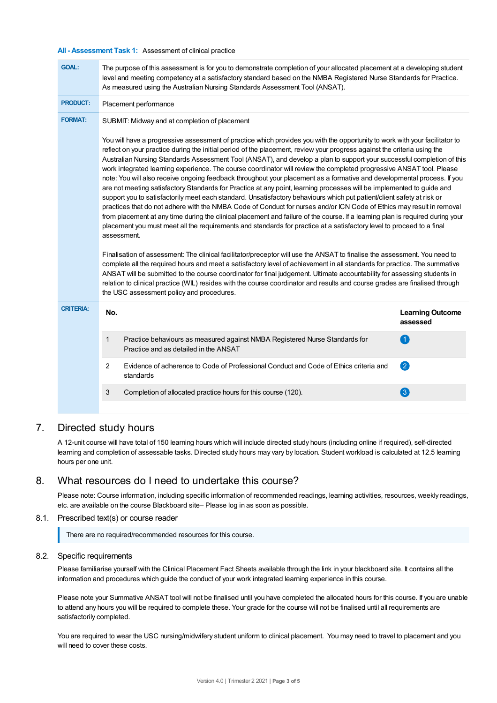#### **All - Assessment Task 1:** Assessment of clinical practice

| <b>GOAL:</b>     | The purpose of this assessment is for you to demonstrate completion of your allocated placement at a developing student<br>level and meeting competency at a satisfactory standard based on the NMBA Registered Nurse Standards for Practice.<br>As measured using the Australian Nursing Standards Assessment Tool (ANSAT).                                                                                                                                                                                                                                                                                                                                                                                                                                                                                                                                                                                                                                                                                                                                                                                                                                                                                                                                                                                                                                                                                                                                                                                                                                                                                                                                                                                                                                                                                    |                                     |  |  |  |  |
|------------------|-----------------------------------------------------------------------------------------------------------------------------------------------------------------------------------------------------------------------------------------------------------------------------------------------------------------------------------------------------------------------------------------------------------------------------------------------------------------------------------------------------------------------------------------------------------------------------------------------------------------------------------------------------------------------------------------------------------------------------------------------------------------------------------------------------------------------------------------------------------------------------------------------------------------------------------------------------------------------------------------------------------------------------------------------------------------------------------------------------------------------------------------------------------------------------------------------------------------------------------------------------------------------------------------------------------------------------------------------------------------------------------------------------------------------------------------------------------------------------------------------------------------------------------------------------------------------------------------------------------------------------------------------------------------------------------------------------------------------------------------------------------------------------------------------------------------|-------------------------------------|--|--|--|--|
| <b>PRODUCT:</b>  | Placement performance                                                                                                                                                                                                                                                                                                                                                                                                                                                                                                                                                                                                                                                                                                                                                                                                                                                                                                                                                                                                                                                                                                                                                                                                                                                                                                                                                                                                                                                                                                                                                                                                                                                                                                                                                                                           |                                     |  |  |  |  |
| <b>FORMAT:</b>   | SUBMIT: Midway and at completion of placement                                                                                                                                                                                                                                                                                                                                                                                                                                                                                                                                                                                                                                                                                                                                                                                                                                                                                                                                                                                                                                                                                                                                                                                                                                                                                                                                                                                                                                                                                                                                                                                                                                                                                                                                                                   |                                     |  |  |  |  |
|                  | You will have a progressive assessment of practice which provides you with the opportunity to work with your facilitator to<br>reflect on your practice during the initial period of the placement, review your progress against the criteria using the<br>Australian Nursing Standards Assessment Tool (ANSAT), and develop a plan to support your successful completion of this<br>work integrated learning experience. The course coordinator will review the completed progressive ANSAT tool. Please<br>note: You will also receive ongoing feedback throughout your placement as a formative and developmental process. If you<br>are not meeting satisfactory Standards for Practice at any point, learning processes will be implemented to guide and<br>support you to satisfactorily meet each standard. Unsatisfactory behaviours which put patient/client safety at risk or<br>practices that do not adhere with the NMBA Code of Conduct for nurses and/or ICN Code of Ethics may result in removal<br>from placement at any time during the clinical placement and failure of the course. If a learning plan is required during your<br>placement you must meet all the requirements and standards for practice at a satisfactory level to proceed to a final<br>assessment.<br>Finalisation of assessment: The clinical facilitator/preceptor will use the ANSAT to finalise the assessment. You need to<br>complete all the required hours and meet a satisfactory level of achievement in all standards for practice. The summative<br>ANSAT will be submitted to the course coordinator for final judgement. Ultimate accountability for assessing students in<br>relation to clinical practice (WIL) resides with the course coordinator and results and course grades are finalised through |                                     |  |  |  |  |
| <b>CRITERIA:</b> | No.                                                                                                                                                                                                                                                                                                                                                                                                                                                                                                                                                                                                                                                                                                                                                                                                                                                                                                                                                                                                                                                                                                                                                                                                                                                                                                                                                                                                                                                                                                                                                                                                                                                                                                                                                                                                             | <b>Learning Outcome</b><br>assessed |  |  |  |  |
|                  | 1<br>Practice behaviours as measured against NMBA Registered Nurse Standards for<br>Practice and as detailed in the ANSAT                                                                                                                                                                                                                                                                                                                                                                                                                                                                                                                                                                                                                                                                                                                                                                                                                                                                                                                                                                                                                                                                                                                                                                                                                                                                                                                                                                                                                                                                                                                                                                                                                                                                                       | $\left( 1\right)$                   |  |  |  |  |
|                  | 2<br>Evidence of adherence to Code of Professional Conduct and Code of Ethics criteria and<br>standards                                                                                                                                                                                                                                                                                                                                                                                                                                                                                                                                                                                                                                                                                                                                                                                                                                                                                                                                                                                                                                                                                                                                                                                                                                                                                                                                                                                                                                                                                                                                                                                                                                                                                                         | 2                                   |  |  |  |  |
|                  | 3<br>Completion of allocated practice hours for this course (120).                                                                                                                                                                                                                                                                                                                                                                                                                                                                                                                                                                                                                                                                                                                                                                                                                                                                                                                                                                                                                                                                                                                                                                                                                                                                                                                                                                                                                                                                                                                                                                                                                                                                                                                                              | $\left( 3\right)$                   |  |  |  |  |
|                  |                                                                                                                                                                                                                                                                                                                                                                                                                                                                                                                                                                                                                                                                                                                                                                                                                                                                                                                                                                                                                                                                                                                                                                                                                                                                                                                                                                                                                                                                                                                                                                                                                                                                                                                                                                                                                 |                                     |  |  |  |  |

## 7. Directed study hours

A 12-unit course will have total of 150 learning hours which will include directed study hours (including online if required), self-directed learning and completion of assessable tasks. Directed study hours may vary by location. Student workload is calculated at 12.5 learning hours per one unit.

## 8. What resources do I need to undertake this course?

Please note: Course information, including specific information of recommended readings, learning activities, resources, weekly readings, etc. are available on the course Blackboard site– Please log in as soon as possible.

## 8.1. Prescribed text(s) or course reader

There are no required/recommended resources for this course.

## 8.2. Specific requirements

Please familiarise yourself with the Clinical Placement Fact Sheets available through the link in your blackboard site. It contains all the information and procedures which guide the conduct of your work integrated learning experience in this course.

Please note your Summative ANSAT tool will not be finalised until you have completed the allocated hours for this course. If you are unable to attend any hours you will be required to complete these. Your grade for the course will not be finalised until all requirements are satisfactorily completed.

You are required to wear the USC nursing/midwifery student uniform to clinical placement. You may need to travel to placement and you will need to cover these costs.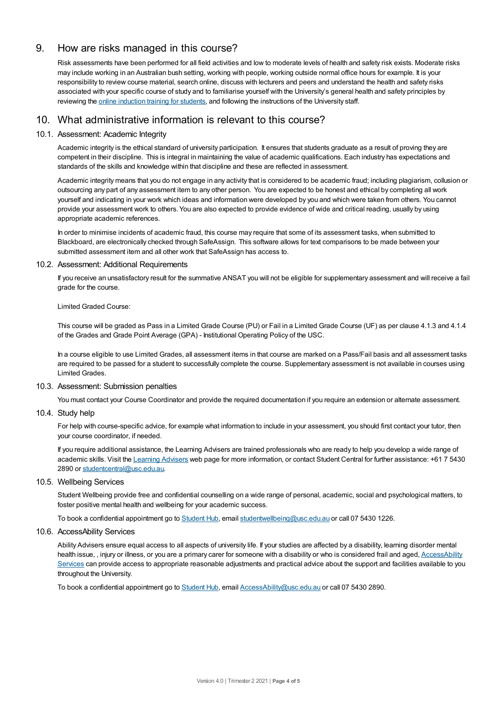# 9. How are risks managed in this course?

Risk assessments have been performed for all field activities and low to moderate levels of health and safety risk exists. Moderate risks may include working in an Australian bush setting, working with people, working outside normal office hours for example. It is your responsibility to review course material, search online, discuss with lecturers and peers and understand the health and safety risks associated with your specific course of study and to familiarise yourself with the University's general health and safety principles by reviewing the online [induction](https://online.usc.edu.au/webapps/blackboard/content/listContentEditable.jsp?content_id=_632657_1&course_id=_14432_1) training for students, and following the instructions of the University staff.

# 10. What administrative information is relevant to this course?

## 10.1. Assessment: Academic Integrity

Academic integrity is the ethical standard of university participation. It ensures that students graduate as a result of proving they are competent in their discipline. This is integral in maintaining the value of academic qualifications. Each industry has expectations and standards of the skills and knowledge within that discipline and these are reflected in assessment.

Academic integrity means that you do not engage in any activity that is considered to be academic fraud; including plagiarism, collusion or outsourcing any part of any assessment item to any other person. You are expected to be honest and ethical by completing all work yourself and indicating in your work which ideas and information were developed by you and which were taken from others. You cannot provide your assessment work to others.You are also expected to provide evidence of wide and critical reading, usually by using appropriate academic references.

In order to minimise incidents of academic fraud, this course may require that some of its assessment tasks, when submitted to Blackboard, are electronically checked through SafeAssign. This software allows for text comparisons to be made between your submitted assessment item and all other work that SafeAssign has access to.

## 10.2. Assessment: Additional Requirements

If you receive an unsatisfactory result for the summative ANSAT you will not be eligible for supplementary assessment and will receive a fail grade for the course.

## Limited Graded Course:

This course will be graded as Pass in a Limited Grade Course (PU) or Fail in a Limited Grade Course (UF) as per clause 4.1.3 and 4.1.4 of the Grades and Grade Point Average (GPA) - Institutional Operating Policy of the USC.

In a course eligible to use Limited Grades, all assessment items in that course are marked on a Pass/Fail basis and all assessment tasks are required to be passed for a student to successfully complete the course. Supplementary assessment is not available in courses using Limited Grades.

## 10.3. Assessment: Submission penalties

You must contact your Course Coordinator and provide the required documentation if you require an extension or alternate assessment.

## 10.4. Study help

For help with course-specific advice, for example what information to include in your assessment, you should first contact your tutor, then your course coordinator, if needed.

If you require additional assistance, the Learning Advisers are trained professionals who are ready to help you develop a wide range of academic skills. Visit the Learning [Advisers](https://www.usc.edu.au/current-students/student-support/academic-and-study-support/learning-advisers) web page for more information, or contact Student Central for further assistance: +61 7 5430 2890 or [studentcentral@usc.edu.au](mailto:studentcentral@usc.edu.au).

## 10.5. Wellbeing Services

Student Wellbeing provide free and confidential counselling on a wide range of personal, academic, social and psychological matters, to foster positive mental health and wellbeing for your academic success.

To book a confidential appointment go to [Student](https://studenthub.usc.edu.au/) Hub, email [studentwellbeing@usc.edu.au](mailto:studentwellbeing@usc.edu.au) or call 07 5430 1226.

## 10.6. AccessAbility Services

Ability Advisers ensure equal access to all aspects of university life. If your studies are affected by a disability, learning disorder mental health issue, , injury or illness, or you are a primary carer for someone with a disability or who is considered frail and aged, [AccessAbility](https://www.usc.edu.au/learn/student-support/accessability-services/documentation-requirements) Services can provide access to appropriate reasonable adjustments and practical advice about the support and facilities available to you throughout the University.

To book a confidential appointment go to [Student](https://studenthub.usc.edu.au/) Hub, email [AccessAbility@usc.edu.au](mailto:AccessAbility@usc.edu.au) or call 07 5430 2890.